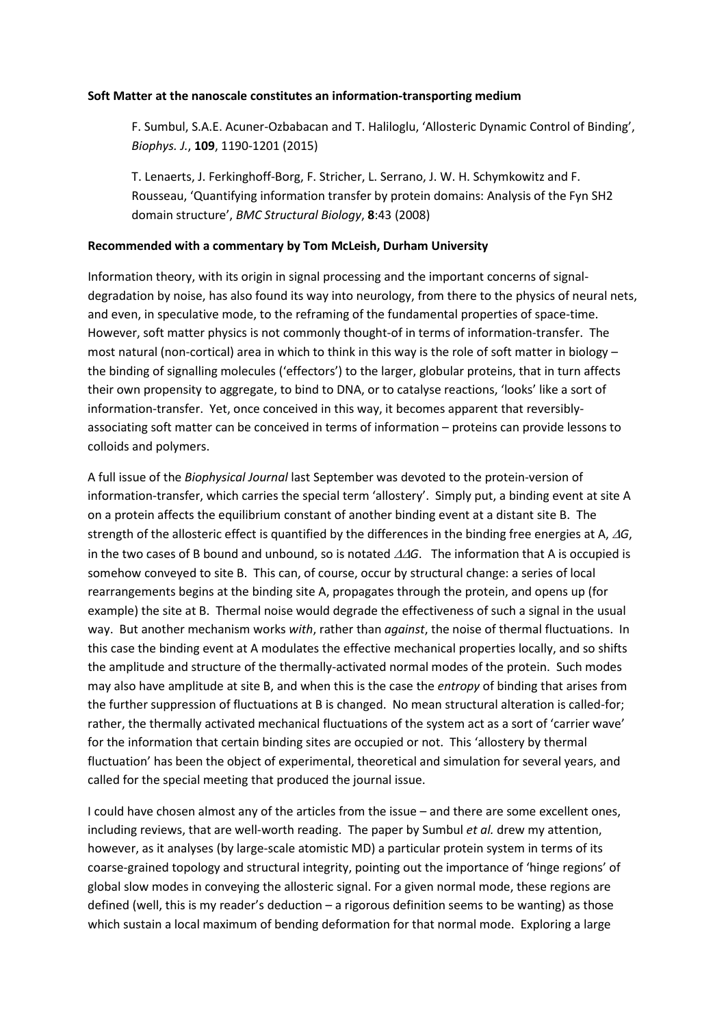## **Soft Matter at the nanoscale constitutes an information-transporting medium**

F. Sumbul, S.A.E. Acuner-Ozbabacan and T. Haliloglu, 'Allosteric Dynamic Control of Binding', *Biophys. J.*, **109**, 1190-1201 (2015)

T. Lenaerts, J. Ferkinghoff-Borg, F. Stricher, L. Serrano, J. W. H. Schymkowitz and F. Rousseau, 'Quantifying information transfer by protein domains: Analysis of the Fyn SH2 domain structure', *BMC Structural Biology*, **8**:43 (2008)

## **Recommended with a commentary by Tom McLeish, Durham University**

Information theory, with its origin in signal processing and the important concerns of signaldegradation by noise, has also found its way into neurology, from there to the physics of neural nets, and even, in speculative mode, to the reframing of the fundamental properties of space-time. However, soft matter physics is not commonly thought-of in terms of information-transfer. The most natural (non-cortical) area in which to think in this way is the role of soft matter in biology – the binding of signalling molecules ('effectors') to the larger, globular proteins, that in turn affects their own propensity to aggregate, to bind to DNA, or to catalyse reactions, 'looks' like a sort of information-transfer. Yet, once conceived in this way, it becomes apparent that reversiblyassociating soft matter can be conceived in terms of information – proteins can provide lessons to colloids and polymers.

A full issue of the *Biophysical Journal* last September was devoted to the protein-version of information-transfer, which carries the special term 'allostery'. Simply put, a binding event at site A on a protein affects the equilibrium constant of another binding event at a distant site B. The strength of the allosteric effect is quantified by the differences in the binding free energies at A, ∆*G*, in the two cases of B bound and unbound, so is notated ∆∆*G*. The information that A is occupied is somehow conveyed to site B. This can, of course, occur by structural change: a series of local rearrangements begins at the binding site A, propagates through the protein, and opens up (for example) the site at B. Thermal noise would degrade the effectiveness of such a signal in the usual way. But another mechanism works *with*, rather than *against*, the noise of thermal fluctuations. In this case the binding event at A modulates the effective mechanical properties locally, and so shifts the amplitude and structure of the thermally-activated normal modes of the protein. Such modes may also have amplitude at site B, and when this is the case the *entropy* of binding that arises from the further suppression of fluctuations at B is changed. No mean structural alteration is called-for; rather, the thermally activated mechanical fluctuations of the system act as a sort of 'carrier wave' for the information that certain binding sites are occupied or not. This 'allostery by thermal fluctuation' has been the object of experimental, theoretical and simulation for several years, and called for the special meeting that produced the journal issue.

I could have chosen almost any of the articles from the issue – and there are some excellent ones, including reviews, that are well-worth reading. The paper by Sumbul *et al.* drew my attention, however, as it analyses (by large-scale atomistic MD) a particular protein system in terms of its coarse-grained topology and structural integrity, pointing out the importance of 'hinge regions' of global slow modes in conveying the allosteric signal. For a given normal mode, these regions are defined (well, this is my reader's deduction – a rigorous definition seems to be wanting) as those which sustain a local maximum of bending deformation for that normal mode. Exploring a large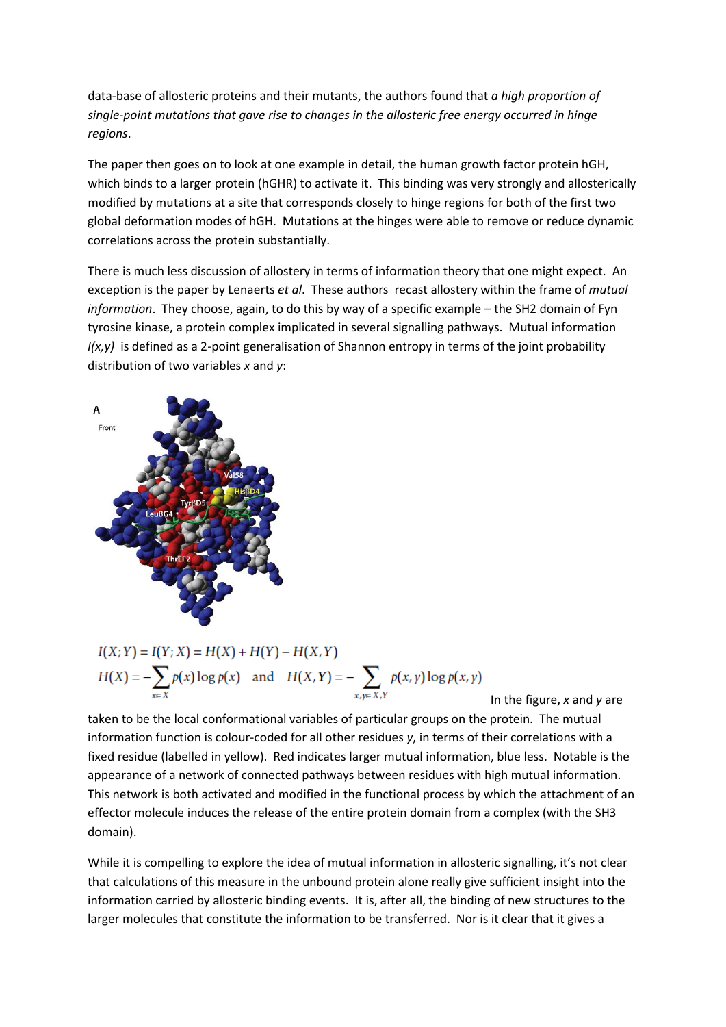data-base of allosteric proteins and their mutants, the authors found that *a high proportion of single-point mutations that gave rise to changes in the allosteric free energy occurred in hinge regions*.

The paper then goes on to look at one example in detail, the human growth factor protein hGH, which binds to a larger protein (hGHR) to activate it. This binding was very strongly and allosterically modified by mutations at a site that corresponds closely to hinge regions for both of the first two global deformation modes of hGH. Mutations at the hinges were able to remove or reduce dynamic correlations across the protein substantially.

There is much less discussion of allostery in terms of information theory that one might expect. An exception is the paper by Lenaerts *et al*. These authors recast allostery within the frame of *mutual information*. They choose, again, to do this by way of a specific example – the SH2 domain of Fyn tyrosine kinase, a protein complex implicated in several signalling pathways. Mutual information *I(x,y)* is defined as a 2-point generalisation of Shannon entropy in terms of the joint probability distribution of two variables *x* and *y*:



$$
I(X; Y) = I(Y; X) = H(X) + H(Y) - H(X, Y)
$$
  
\n
$$
H(X) = -\sum_{x \in X} p(x) \log p(x) \text{ and } H(X, Y) = -\sum_{x, y \in X, Y} p(x, y) \log p(x, y)
$$

In the figure, *x* and *y* are

taken to be the local conformational variables of particular groups on the protein. The mutual information function is colour-coded for all other residues *y*, in terms of their correlations with a fixed residue (labelled in yellow). Red indicates larger mutual information, blue less. Notable is the appearance of a network of connected pathways between residues with high mutual information. This network is both activated and modified in the functional process by which the attachment of an effector molecule induces the release of the entire protein domain from a complex (with the SH3 domain).

While it is compelling to explore the idea of mutual information in allosteric signalling, it's not clear that calculations of this measure in the unbound protein alone really give sufficient insight into the information carried by allosteric binding events. It is, after all, the binding of new structures to the larger molecules that constitute the information to be transferred. Nor is it clear that it gives a